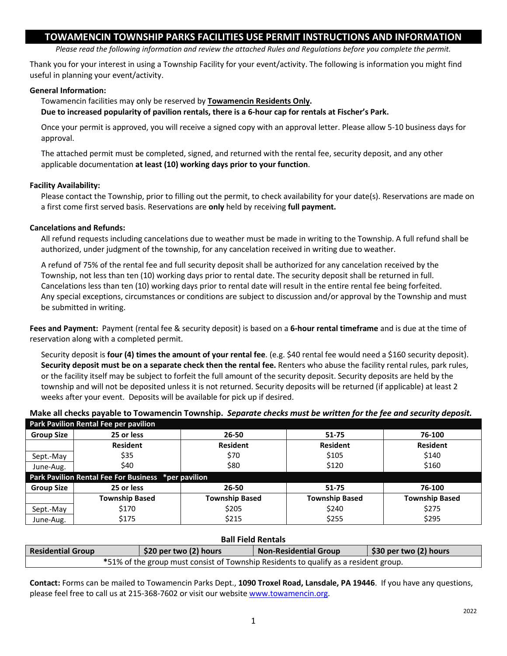# **TOWAMENCIN TOWNSHIP PARKS FACILITIES USE PERMIT INSTRUCTIONS AND INFORMATION**

*Please read the following information and review the attached Rules and Regulations before you complete the permit.*

Thank you for your interest in using a Township Facility for your event/activity. The following is information you might find useful in planning your event/activity.

## **General Information:**

Towamencin facilities may only be reserved by **Towamencin Residents Only.** 

**Due to increased popularity of pavilion rentals, there is a 6-hour cap for rentals at Fischer's Park.** 

Once your permit is approved, you will receive a signed copy with an approval letter. Please allow 5-10 business days for approval.

The attached permit must be completed, signed, and returned with the rental fee, security deposit, and any other applicable documentation **at least (10) working days prior to your function**.

## **Facility Availability:**

Please contact the Township, prior to filling out the permit, to check availability for your date(s). Reservations are made on a first come first served basis. Reservations are **only** held by receiving **full payment.**

## **Cancelations and Refunds:**

All refund requests including cancelations due to weather must be made in writing to the Township. A full refund shall be authorized, under judgment of the township, for any cancelation received in writing due to weather.

A refund of 75% of the rental fee and full security deposit shall be authorized for any cancelation received by the Township, not less than ten (10) working days prior to rental date. The security deposit shall be returned in full. Cancelations less than ten (10) working days prior to rental date will result in the entire rental fee being forfeited. Any special exceptions, circumstances or conditions are subject to discussion and/or approval by the Township and must be submitted in writing.

**Fees and Payment:** Payment (rental fee & security deposit) is based on a **6-hour rental timeframe** and is due at the time of reservation along with a completed permit.

Security deposit is **four (4) times the amount of your rental fee**. (e.g. \$40 rental fee would need a \$160 security deposit). **Security deposit must be on a separate check then the rental fee.** Renters who abuse the facility rental rules, park rules, or the facility itself may be subject to forfeit the full amount of the security deposit. Security deposits are held by the township and will not be deposited unless it is not returned. Security deposits will be returned (if applicable) at least 2 weeks after your event. Deposits will be available for pick up if desired.

**Make all checks payable to Towamencin Township.** *Separate checks must be written for the fee and security deposit.*

| Park Pavilion Rental Fee per pavilion               |                       |                       |                       |                       |  |  |  |
|-----------------------------------------------------|-----------------------|-----------------------|-----------------------|-----------------------|--|--|--|
| <b>Group Size</b>                                   | 25 or less            | 26-50                 | 51-75                 | 76-100                |  |  |  |
|                                                     | <b>Resident</b>       | <b>Resident</b>       | <b>Resident</b>       | <b>Resident</b>       |  |  |  |
| Sept.-May                                           | \$35                  | \$70                  | \$105                 | \$140                 |  |  |  |
| June-Aug.                                           | \$40                  | \$80                  | \$120                 | \$160                 |  |  |  |
| Park Pavilion Rental Fee For Business *per pavilion |                       |                       |                       |                       |  |  |  |
| <b>Group Size</b>                                   | 25 or less            | $26 - 50$             | 51-75                 | 76-100                |  |  |  |
|                                                     | <b>Township Based</b> | <b>Township Based</b> | <b>Township Based</b> | <b>Township Based</b> |  |  |  |
| Sept.-May                                           | \$170                 | \$205                 | \$240                 | \$275                 |  |  |  |
| June-Aug.                                           | \$175                 | \$215                 | \$255                 | \$295                 |  |  |  |

## **Ball Field Rentals**

| <b>Residential Group</b>                                                             | \$20 per two (2) hours | <b>Non-Residential Group</b> | $\frac{1}{2}$ \$30 per two (2) hours |  |  |  |
|--------------------------------------------------------------------------------------|------------------------|------------------------------|--------------------------------------|--|--|--|
| *51% of the group must consist of Township Residents to qualify as a resident group. |                        |                              |                                      |  |  |  |

**Contact:** Forms can be mailed to Towamencin Parks Dept., **1090 Troxel Road, Lansdale, PA 19446**. If you have any questions, please feel free to call us at 215-368-7602 or visit our website [www.towamencin.org.](http://www.towamencin.org/)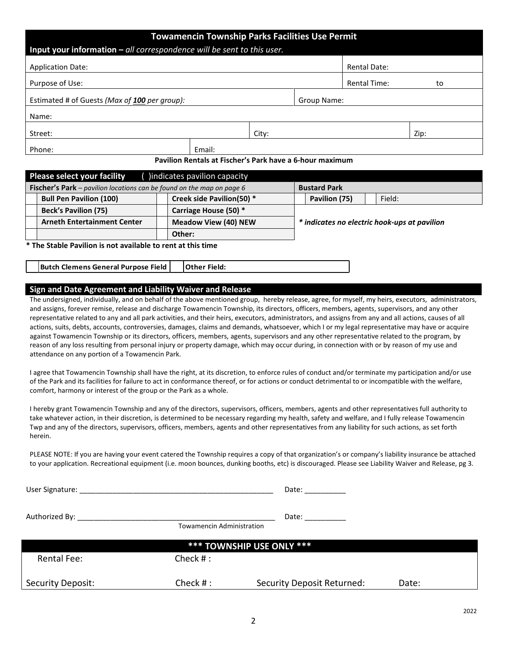|                                                                              | <b>Towamencin Township Parks Facilities Use Permit</b>                        |       |                     |                     |      |
|------------------------------------------------------------------------------|-------------------------------------------------------------------------------|-------|---------------------|---------------------|------|
|                                                                              | <b>Input your information – all correspondence will be sent to this user.</b> |       |                     |                     |      |
| <b>Application Date:</b>                                                     |                                                                               |       |                     | <b>Rental Date:</b> |      |
| Purpose of Use:                                                              |                                                                               |       |                     | <b>Rental Time:</b> | to   |
|                                                                              | Estimated # of Guests (Max of 100 per group):                                 |       |                     | Group Name:         |      |
| Name:                                                                        |                                                                               |       |                     |                     |      |
| Street:                                                                      |                                                                               | City: |                     |                     | Zip: |
| Phone:                                                                       | Email:                                                                        |       |                     |                     |      |
|                                                                              | Pavilion Rentals at Fischer's Park have a 6-hour maximum                      |       |                     |                     |      |
| <b>Please select your facility</b>                                           | indicates pavilion capacity                                                   |       |                     |                     |      |
| <b>Fischer's Park</b> – pavilion locations can be found on the map on page 6 |                                                                               |       | <b>Bustard Park</b> |                     |      |

| <b>Bull Pen Pavilion (100)</b>                              |  | Creek side Pavilion(50) *   |                                              | Pavilion (75) |  | Field: |  |
|-------------------------------------------------------------|--|-----------------------------|----------------------------------------------|---------------|--|--------|--|
| <b>Beck's Pavilion (75)</b>                                 |  | Carriage House (50) *       |                                              |               |  |        |  |
| <b>Arneth Entertainment Center</b>                          |  | <b>Meadow View (40) NEW</b> | * indicates no electric hook-ups at pavilion |               |  |        |  |
|                                                             |  | Other:                      |                                              |               |  |        |  |
| * The Stable Pavilion is not available to rent at this time |  |                             |                                              |               |  |        |  |
| Butch Clemens General Purpose Field                         |  | <b>Other Field:</b>         |                                              |               |  |        |  |

#### **Sign and Date Agreement and Liability Waiver and Release**

The undersigned, individually, and on behalf of the above mentioned group, hereby release, agree, for myself, my heirs, executors, administrators, and assigns, forever remise, release and discharge Towamencin Township, its directors, officers, members, agents, supervisors, and any other representative related to any and all park activities, and their heirs, executors, administrators, and assigns from any and all actions, causes of all actions, suits, debts, accounts, controversies, damages, claims and demands, whatsoever, which I or my legal representative may have or acquire against Towamencin Township or its directors, officers, members, agents, supervisors and any other representative related to the program, by reason of any loss resulting from personal injury or property damage, which may occur during, in connection with or by reason of my use and attendance on any portion of a Towamencin Park.

I agree that Towamencin Township shall have the right, at its discretion, to enforce rules of conduct and/or terminate my participation and/or use of the Park and its facilities for failure to act in conformance thereof, or for actions or conduct detrimental to or incompatible with the welfare, comfort, harmony or interest of the group or the Park as a whole.

I hereby grant Towamencin Township and any of the directors, supervisors, officers, members, agents and other representatives full authority to take whatever action, in their discretion, is determined to be necessary regarding my health, safety and welfare, and I fully release Towamencin Twp and any of the directors, supervisors, officers, members, agents and other representatives from any liability for such actions, as set forth herein.

PLEASE NOTE: If you are having your event catered the Township requires a copy of that organization's or company's liability insurance be attached to your application. Recreational equipment (i.e. moon bounces, dunking booths, etc) is discouraged. Please see Liability Waiver and Release, pg 3.

| User Signature: the contract of the contract of the contract of the contract of the contract of the contract of the contract of the contract of the contract of the contract of the contract of the contract of the contract o |                                  | Date: the contract of the contract of the contract of the contract of the contract of the contract of the contract of the contract of the contract of the contract of the contract of the contract of the contract of the cont |       |  |  |  |  |
|--------------------------------------------------------------------------------------------------------------------------------------------------------------------------------------------------------------------------------|----------------------------------|--------------------------------------------------------------------------------------------------------------------------------------------------------------------------------------------------------------------------------|-------|--|--|--|--|
|                                                                                                                                                                                                                                | <b>Towamencin Administration</b> | Date: __ <b>________</b>                                                                                                                                                                                                       |       |  |  |  |  |
| *** TOWNSHIP USE ONLY ***                                                                                                                                                                                                      |                                  |                                                                                                                                                                                                                                |       |  |  |  |  |
| <b>Rental Fee:</b>                                                                                                                                                                                                             | Check $#$ :                      |                                                                                                                                                                                                                                |       |  |  |  |  |
| Security Deposit:                                                                                                                                                                                                              | Check $#:$                       | Security Deposit Returned:                                                                                                                                                                                                     | Date: |  |  |  |  |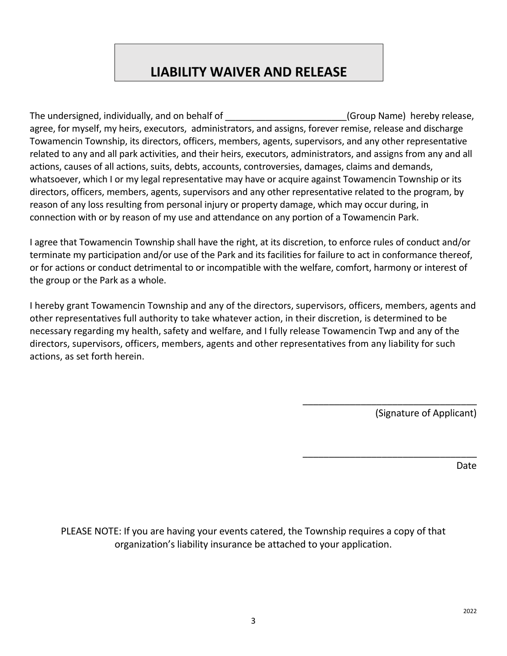# **LIABILITY WAIVER AND RELEASE**

The undersigned, individually, and on behalf of The Computer of Group Name) hereby release, agree, for myself, my heirs, executors, administrators, and assigns, forever remise, release and discharge Towamencin Township, its directors, officers, members, agents, supervisors, and any other representative related to any and all park activities, and their heirs, executors, administrators, and assigns from any and all actions, causes of all actions, suits, debts, accounts, controversies, damages, claims and demands, whatsoever, which I or my legal representative may have or acquire against Towamencin Township or its directors, officers, members, agents, supervisors and any other representative related to the program, by reason of any loss resulting from personal injury or property damage, which may occur during, in connection with or by reason of my use and attendance on any portion of a Towamencin Park.

I agree that Towamencin Township shall have the right, at its discretion, to enforce rules of conduct and/or terminate my participation and/or use of the Park and its facilities for failure to act in conformance thereof, or for actions or conduct detrimental to or incompatible with the welfare, comfort, harmony or interest of the group or the Park as a whole.

I hereby grant Towamencin Township and any of the directors, supervisors, officers, members, agents and other representatives full authority to take whatever action, in their discretion, is determined to be necessary regarding my health, safety and welfare, and I fully release Towamencin Twp and any of the directors, supervisors, officers, members, agents and other representatives from any liability for such actions, as set forth herein.

(Signature of Applicant)

\_\_\_\_\_\_\_\_\_\_\_\_\_\_\_\_\_\_\_\_\_\_\_\_\_\_\_\_\_\_\_\_\_

\_\_\_\_\_\_\_\_\_\_\_\_\_\_\_\_\_\_\_\_\_\_\_\_\_\_\_\_\_\_\_\_\_

Date

PLEASE NOTE: If you are having your events catered, the Township requires a copy of that organization's liability insurance be attached to your application.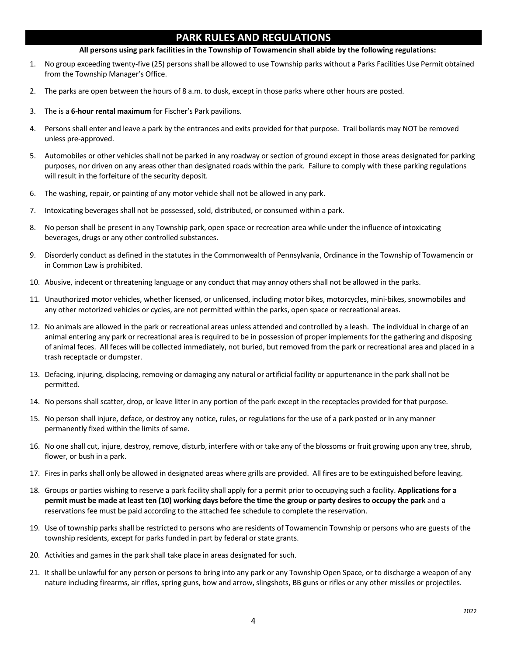# **PARK RULES AND REGULATIONS**

#### **All persons using park facilities in the Township of Towamencin shall abide by the following regulations:**

- 1. No group exceeding twenty-five (25) persons shall be allowed to use Township parks without a Parks Facilities Use Permit obtained from the Township Manager's Office.
- 2. The parks are open between the hours of 8 a.m. to dusk, except in those parks where other hours are posted.
- 3. The is a **6-hour rental maximum** for Fischer's Park pavilions.
- 4. Persons shall enter and leave a park by the entrances and exits provided for that purpose. Trail bollards may NOT be removed unless pre-approved.
- 5. Automobiles or other vehicles shall not be parked in any roadway or section of ground except in those areas designated for parking purposes, nor driven on any areas other than designated roads within the park. Failure to comply with these parking regulations will result in the forfeiture of the security deposit.
- 6. The washing, repair, or painting of any motor vehicle shall not be allowed in any park.
- 7. Intoxicating beverages shall not be possessed, sold, distributed, or consumed within a park.
- 8. No person shall be present in any Township park, open space or recreation area while under the influence of intoxicating beverages, drugs or any other controlled substances.
- 9. Disorderly conduct as defined in the statutes in the Commonwealth of Pennsylvania, Ordinance in the Township of Towamencin or in Common Law is prohibited.
- 10. Abusive, indecent or threatening language or any conduct that may annoy others shall not be allowed in the parks.
- 11. Unauthorized motor vehicles, whether licensed, or unlicensed, including motor bikes, motorcycles, mini-bikes, snowmobiles and any other motorized vehicles or cycles, are not permitted within the parks, open space or recreational areas.
- 12. No animals are allowed in the park or recreational areas unless attended and controlled by a leash. The individual in charge of an animal entering any park or recreational area is required to be in possession of proper implements for the gathering and disposing of animal feces. All feces will be collected immediately, not buried, but removed from the park or recreational area and placed in a trash receptacle or dumpster.
- 13. Defacing, injuring, displacing, removing or damaging any natural or artificial facility or appurtenance in the park shall not be permitted.
- 14. No persons shall scatter, drop, or leave litter in any portion of the park except in the receptacles provided for that purpose.
- 15. No person shall injure, deface, or destroy any notice, rules, or regulations for the use of a park posted or in any manner permanently fixed within the limits of same.
- 16. No one shall cut, injure, destroy, remove, disturb, interfere with or take any of the blossoms or fruit growing upon any tree, shrub, flower, or bush in a park.
- 17. Fires in parks shall only be allowed in designated areas where grills are provided. All fires are to be extinguished before leaving.
- 18. Groups or parties wishing to reserve a park facility shall apply for a permit prior to occupying such a facility. **Applications for a permit must be made at least ten (10) working days before the time the group or party desires to occupy the park** and a reservations fee must be paid according to the attached fee schedule to complete the reservation.
- 19. Use of township parks shall be restricted to persons who are residents of Towamencin Township or persons who are guests of the township residents, except for parks funded in part by federal or state grants.
- 20. Activities and games in the park shall take place in areas designated for such.
- 21. It shall be unlawful for any person or persons to bring into any park or any Township Open Space, or to discharge a weapon of any nature including firearms, air rifles, spring guns, bow and arrow, slingshots, BB guns or rifles or any other missiles or projectiles.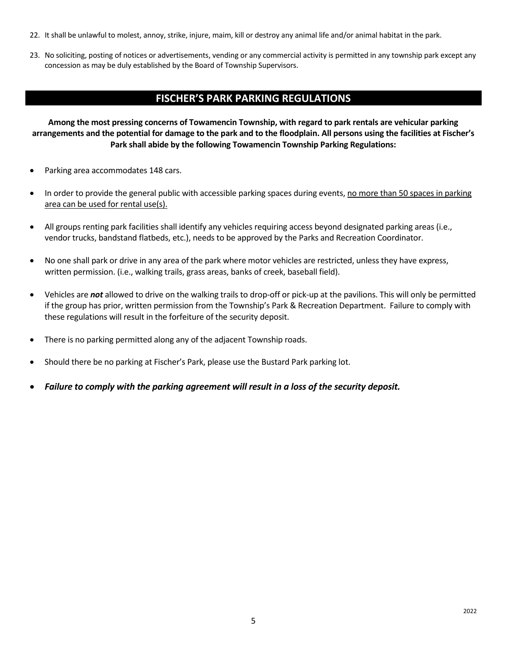- 22. It shall be unlawful to molest, annoy, strike, injure, maim, kill or destroy any animal life and/or animal habitat in the park.
- 23. No soliciting, posting of notices or advertisements, vending or any commercial activity is permitted in any township park except any concession as may be duly established by the Board of Township Supervisors.

# **FISCHER'S PARK PARKING REGULATIONS**

**Among the most pressing concerns of Towamencin Township, with regard to park rentals are vehicular parking arrangements and the potential for damage to the park and to the floodplain. All persons using the facilities at Fischer's Park shall abide by the following Towamencin Township Parking Regulations:** 

- Parking area accommodates 148 cars.
- In order to provide the general public with accessible parking spaces during events, no more than 50 spaces in parking area can be used for rental use(s).
- All groups renting park facilities shall identify any vehicles requiring access beyond designated parking areas (i.e., vendor trucks, bandstand flatbeds, etc.), needs to be approved by the Parks and Recreation Coordinator.
- No one shall park or drive in any area of the park where motor vehicles are restricted, unless they have express, written permission. (i.e., walking trails, grass areas, banks of creek, baseball field).
- Vehicles are *not* allowed to drive on the walking trails to drop-off or pick-up at the pavilions. This will only be permitted if the group has prior, written permission from the Township's Park & Recreation Department. Failure to comply with these regulations will result in the forfeiture of the security deposit.
- There is no parking permitted along any of the adjacent Township roads.
- Should there be no parking at Fischer's Park, please use the Bustard Park parking lot.
- *Failure to comply with the parking agreement will result in a loss of the security deposit.*